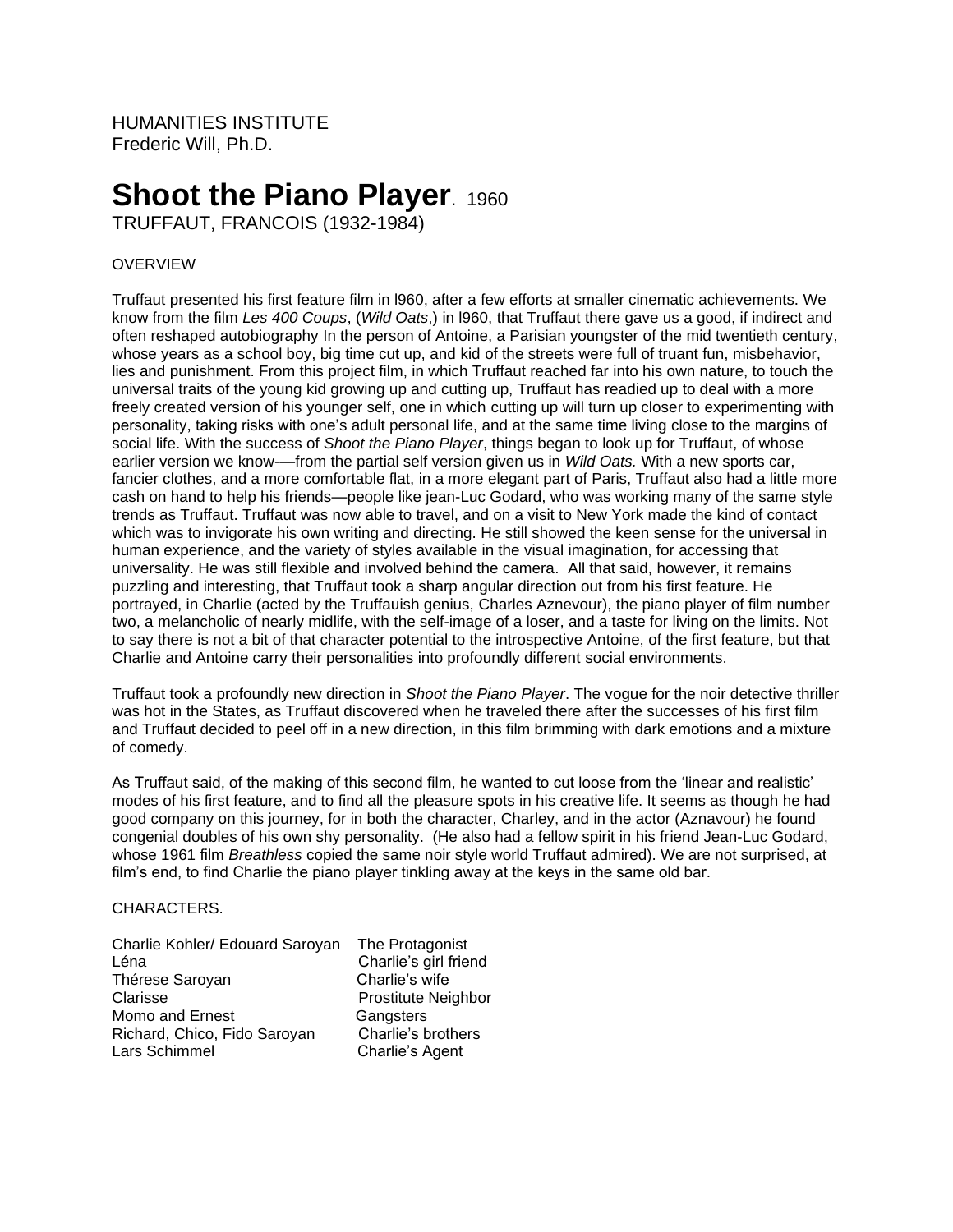HUMANITIES INSTITUTE Frederic Will, Ph.D.

# **Shoot the Piano Player. 1960**

TRUFFAUT, FRANCOIS (1932-1984)

## OVERVIEW

Truffaut presented his first feature film in l960, after a few efforts at smaller cinematic achievements. We know from the film *Les 400 Coups*, (*Wild Oats*,) in l960, that Truffaut there gave us a good, if indirect and often reshaped autobiography In the person of Antoine, a Parisian youngster of the mid twentieth century, whose years as a school boy, big time cut up, and kid of the streets were full of truant fun, misbehavior, lies and punishment. From this project film, in which Truffaut reached far into his own nature, to touch the universal traits of the young kid growing up and cutting up, Truffaut has readied up to deal with a more freely created version of his younger self, one in which cutting up will turn up closer to experimenting with personality, taking risks with one's adult personal life, and at the same time living close to the margins of social life. With the success of *Shoot the Piano Player*, things began to look up for Truffaut, of whose earlier version we know-—from the partial self version given us in *Wild Oats.* With a new sports car, fancier clothes, and a more comfortable flat, in a more elegant part of Paris, Truffaut also had a little more cash on hand to help his friends—people like jean-Luc Godard, who was working many of the same style trends as Truffaut. Truffaut was now able to travel, and on a visit to New York made the kind of contact which was to invigorate his own writing and directing. He still showed the keen sense for the universal in human experience, and the variety of styles available in the visual imagination, for accessing that universality. He was still flexible and involved behind the camera. All that said, however, it remains puzzling and interesting, that Truffaut took a sharp angular direction out from his first feature. He portrayed, in Charlie (acted by the Truffauish genius, Charles Aznevour), the piano player of film number two, a melancholic of nearly midlife, with the self-image of a loser, and a taste for living on the limits. Not to say there is not a bit of that character potential to the introspective Antoine, of the first feature, but that Charlie and Antoine carry their personalities into profoundly different social environments.

Truffaut took a profoundly new direction in *Shoot the Piano Player*. The vogue for the noir detective thriller was hot in the States, as Truffaut discovered when he traveled there after the successes of his first film and Truffaut decided to peel off in a new direction, in this film brimming with dark emotions and a mixture of comedy.

As Truffaut said, of the making of this second film, he wanted to cut loose from the 'linear and realistic' modes of his first feature, and to find all the pleasure spots in his creative life. It seems as though he had good company on this journey, for in both the character, Charley, and in the actor (Aznavour) he found congenial doubles of his own shy personality. (He also had a fellow spirit in his friend Jean-Luc Godard, whose 1961 film *Breathless* copied the same noir style world Truffaut admired). We are not surprised, at film's end, to find Charlie the piano player tinkling away at the keys in the same old bar.

#### CHARACTERS.

| Charlie Kohler/ Edouard Saroyan | The Protagonist            |
|---------------------------------|----------------------------|
| Léna                            | Charlie's girl friend      |
| Thérese Saroyan                 | Charlie's wife             |
| Clarisse                        | <b>Prostitute Neighbor</b> |
| Momo and Ernest                 | Gangsters                  |
| Richard, Chico, Fido Saroyan    | Charlie's brothers         |
| Lars Schimmel                   | Charlie's Agent            |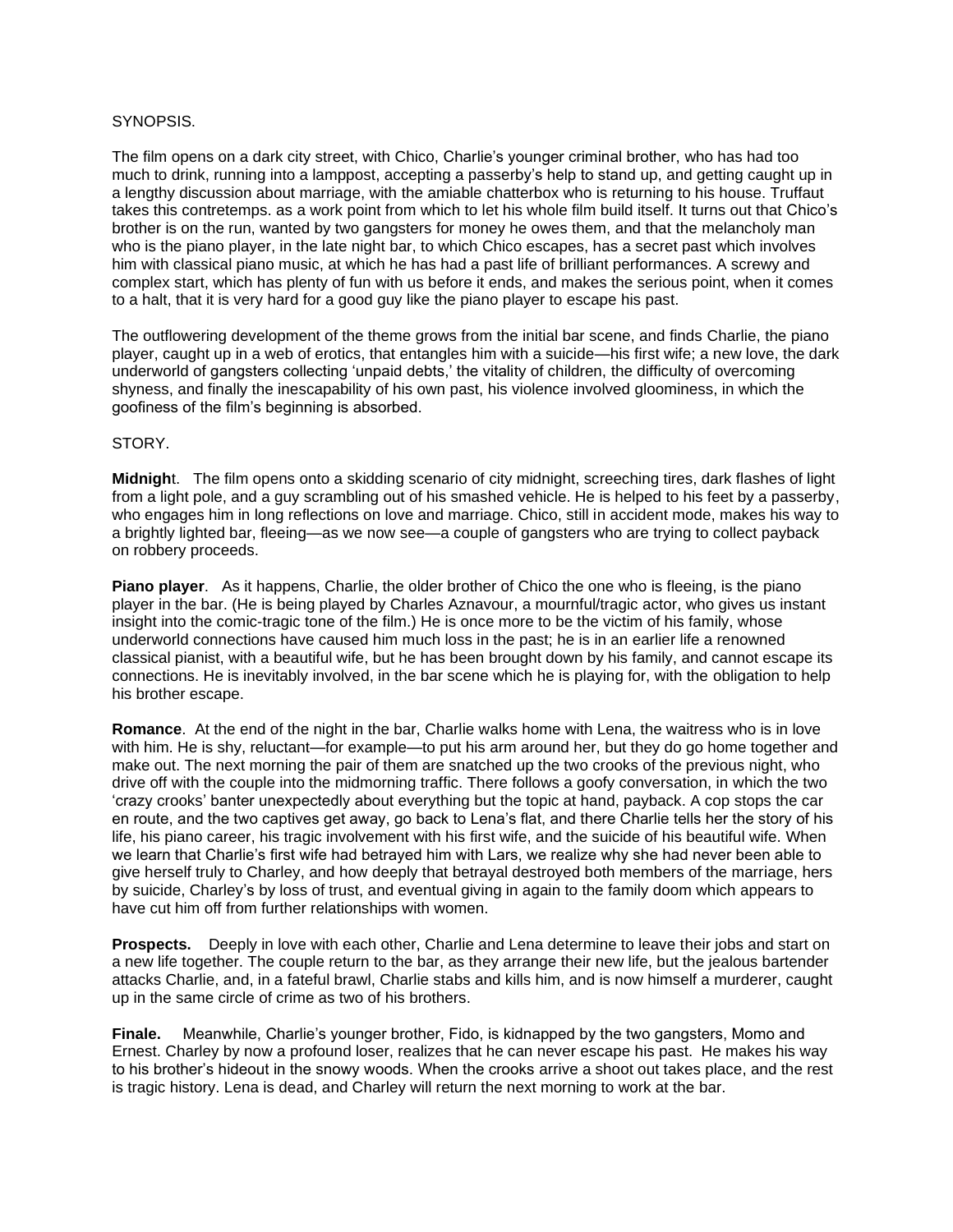## SYNOPSIS.

The film opens on a dark city street, with Chico, Charlie's younger criminal brother, who has had too much to drink, running into a lamppost, accepting a passerby's help to stand up, and getting caught up in a lengthy discussion about marriage, with the amiable chatterbox who is returning to his house. Truffaut takes this contretemps. as a work point from which to let his whole film build itself. It turns out that Chico's brother is on the run, wanted by two gangsters for money he owes them, and that the melancholy man who is the piano player, in the late night bar, to which Chico escapes, has a secret past which involves him with classical piano music, at which he has had a past life of brilliant performances. A screwy and complex start, which has plenty of fun with us before it ends, and makes the serious point, when it comes to a halt, that it is very hard for a good guy like the piano player to escape his past.

The outflowering development of the theme grows from the initial bar scene, and finds Charlie, the piano player, caught up in a web of erotics, that entangles him with a suicide—his first wife; a new love, the dark underworld of gangsters collecting 'unpaid debts,' the vitality of children, the difficulty of overcoming shyness, and finally the inescapability of his own past, his violence involved gloominess, in which the goofiness of the film's beginning is absorbed.

## STORY.

**Midnigh**t. The film opens onto a skidding scenario of city midnight, screeching tires, dark flashes of light from a light pole, and a guy scrambling out of his smashed vehicle. He is helped to his feet by a passerby, who engages him in long reflections on love and marriage. Chico, still in accident mode, makes his way to a brightly lighted bar, fleeing—as we now see—a couple of gangsters who are trying to collect payback on robbery proceeds.

**Piano player**. As it happens, Charlie, the older brother of Chico the one who is fleeing, is the piano player in the bar. (He is being played by Charles Aznavour, a mournful/tragic actor, who gives us instant insight into the comic-tragic tone of the film.) He is once more to be the victim of his family, whose underworld connections have caused him much loss in the past; he is in an earlier life a renowned classical pianist, with a beautiful wife, but he has been brought down by his family, and cannot escape its connections. He is inevitably involved, in the bar scene which he is playing for, with the obligation to help his brother escape.

**Romance**. At the end of the night in the bar, Charlie walks home with Lena, the waitress who is in love with him. He is shy, reluctant—for example—to put his arm around her, but they do go home together and make out. The next morning the pair of them are snatched up the two crooks of the previous night, who drive off with the couple into the midmorning traffic. There follows a goofy conversation, in which the two 'crazy crooks' banter unexpectedly about everything but the topic at hand, payback. A cop stops the car en route, and the two captives get away, go back to Lena's flat, and there Charlie tells her the story of his life, his piano career, his tragic involvement with his first wife, and the suicide of his beautiful wife. When we learn that Charlie's first wife had betrayed him with Lars, we realize why she had never been able to give herself truly to Charley, and how deeply that betrayal destroyed both members of the marriage, hers by suicide, Charley's by loss of trust, and eventual giving in again to the family doom which appears to have cut him off from further relationships with women.

**Prospects.** Deeply in love with each other, Charlie and Lena determine to leave their jobs and start on a new life together. The couple return to the bar, as they arrange their new life, but the jealous bartender attacks Charlie, and, in a fateful brawl, Charlie stabs and kills him, and is now himself a murderer, caught up in the same circle of crime as two of his brothers.

**Finale.** Meanwhile, Charlie's younger brother, Fido, is kidnapped by the two gangsters, Momo and Ernest. Charley by now a profound loser, realizes that he can never escape his past. He makes his way to his brother's hideout in the snowy woods. When the crooks arrive a shoot out takes place, and the rest is tragic history. Lena is dead, and Charley will return the next morning to work at the bar.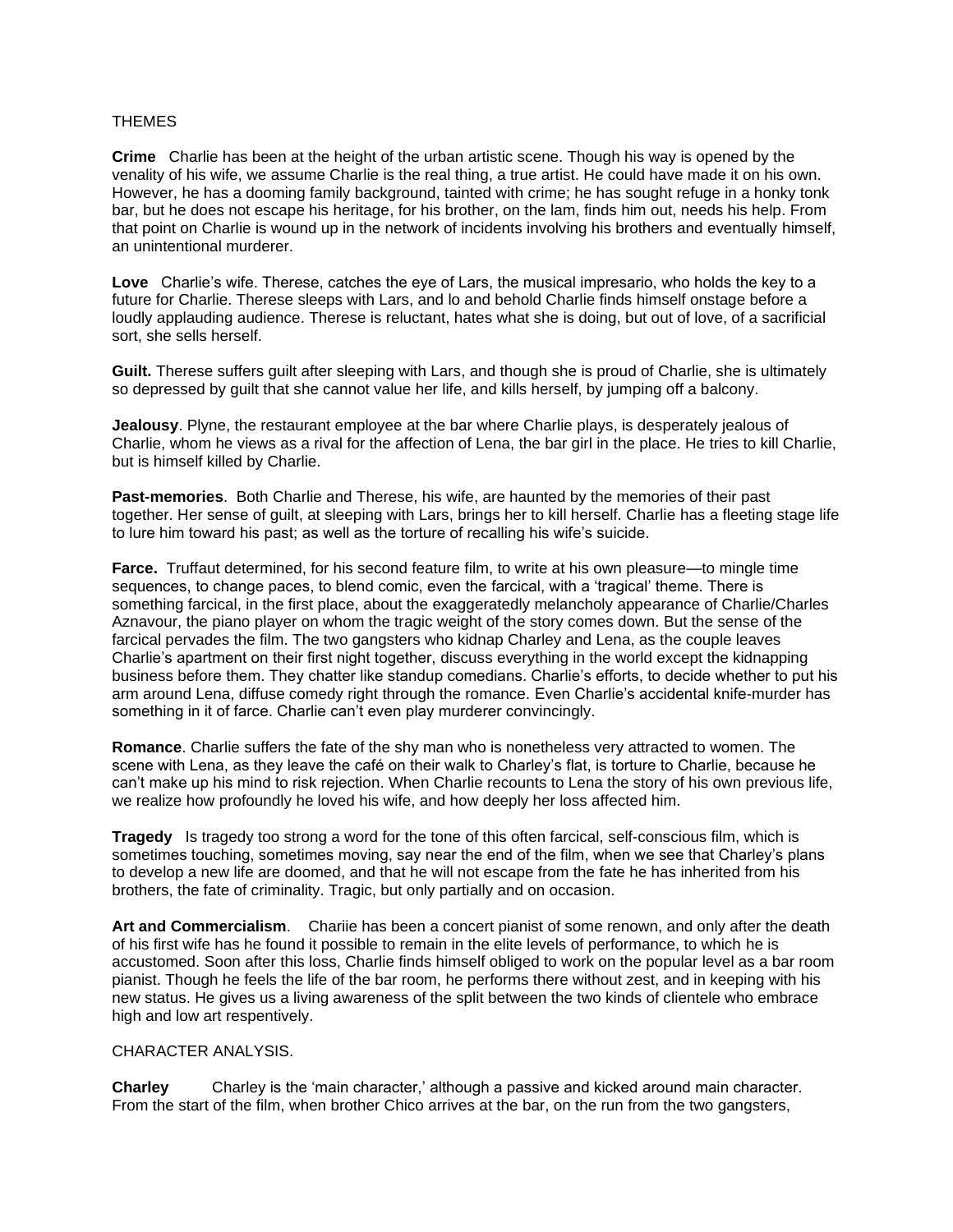#### THEMES

**Crime** Charlie has been at the height of the urban artistic scene. Though his way is opened by the venality of his wife, we assume Charlie is the real thing, a true artist. He could have made it on his own. However, he has a dooming family background, tainted with crime; he has sought refuge in a honky tonk bar, but he does not escape his heritage, for his brother, on the lam, finds him out, needs his help. From that point on Charlie is wound up in the network of incidents involving his brothers and eventually himself, an unintentional murderer.

**Love** Charlie's wife. Therese, catches the eye of Lars, the musical impresario, who holds the key to a future for Charlie. Therese sleeps with Lars, and lo and behold Charlie finds himself onstage before a loudly applauding audience. Therese is reluctant, hates what she is doing, but out of love, of a sacrificial sort, she sells herself.

**Guilt.** Therese suffers guilt after sleeping with Lars, and though she is proud of Charlie, she is ultimately so depressed by guilt that she cannot value her life, and kills herself, by jumping off a balcony.

**Jealousy**. Plyne, the restaurant employee at the bar where Charlie plays, is desperately jealous of Charlie, whom he views as a rival for the affection of Lena, the bar girl in the place. He tries to kill Charlie, but is himself killed by Charlie.

**Past-memories**. Both Charlie and Therese, his wife, are haunted by the memories of their past together. Her sense of guilt, at sleeping with Lars, brings her to kill herself. Charlie has a fleeting stage life to lure him toward his past; as well as the torture of recalling his wife's suicide.

**Farce.** Truffaut determined, for his second feature film, to write at his own pleasure—to mingle time sequences, to change paces, to blend comic, even the farcical, with a 'tragical' theme. There is something farcical, in the first place, about the exaggeratedly melancholy appearance of Charlie/Charles Aznavour, the piano player on whom the tragic weight of the story comes down. But the sense of the farcical pervades the film. The two gangsters who kidnap Charley and Lena, as the couple leaves Charlie's apartment on their first night together, discuss everything in the world except the kidnapping business before them. They chatter like standup comedians. Charlie's efforts, to decide whether to put his arm around Lena, diffuse comedy right through the romance. Even Charlie's accidental knife-murder has something in it of farce. Charlie can't even play murderer convincingly.

**Romance**. Charlie suffers the fate of the shy man who is nonetheless very attracted to women. The scene with Lena, as they leave the café on their walk to Charley's flat, is torture to Charlie, because he can't make up his mind to risk rejection. When Charlie recounts to Lena the story of his own previous life, we realize how profoundly he loved his wife, and how deeply her loss affected him.

**Tragedy** Is tragedy too strong a word for the tone of this often farcical, self-conscious film, which is sometimes touching, sometimes moving, say near the end of the film, when we see that Charley's plans to develop a new life are doomed, and that he will not escape from the fate he has inherited from his brothers, the fate of criminality. Tragic, but only partially and on occasion.

**Art and Commercialism**. Chariie has been a concert pianist of some renown, and only after the death of his first wife has he found it possible to remain in the elite levels of performance, to which he is accustomed. Soon after this loss, Charlie finds himself obliged to work on the popular level as a bar room pianist. Though he feels the life of the bar room, he performs there without zest, and in keeping with his new status. He gives us a living awareness of the split between the two kinds of clientele who embrace high and low art respentively.

## CHARACTER ANALYSIS.

**Charley** Charley is the 'main character,' although a passive and kicked around main character. From the start of the film, when brother Chico arrives at the bar, on the run from the two gangsters,